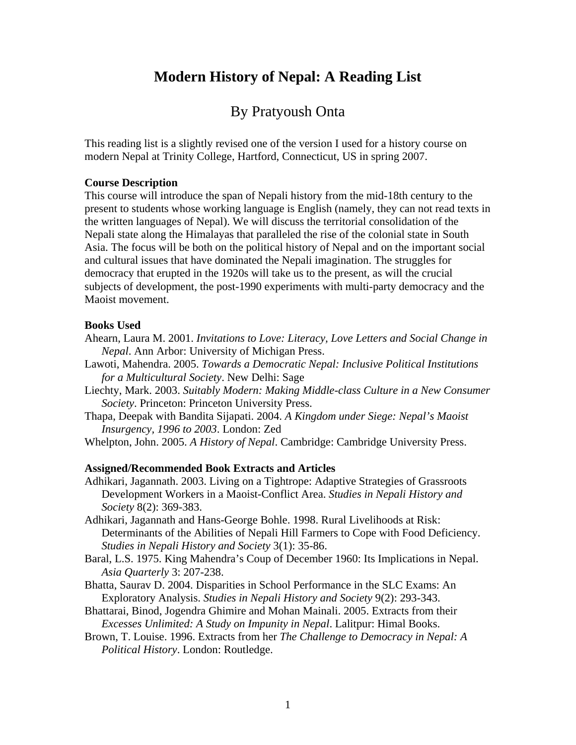# **Modern History of Nepal: A Reading List**

# By Pratyoush Onta

This reading list is a slightly revised one of the version I used for a history course on modern Nepal at Trinity College, Hartford, Connecticut, US in spring 2007.

## **Course Description**

This course will introduce the span of Nepali history from the mid-18th century to the present to students whose working language is English (namely, they can not read texts in the written languages of Nepal). We will discuss the territorial consolidation of the Nepali state along the Himalayas that paralleled the rise of the colonial state in South Asia. The focus will be both on the political history of Nepal and on the important social and cultural issues that have dominated the Nepali imagination. The struggles for democracy that erupted in the 1920s will take us to the present, as will the crucial subjects of development, the post-1990 experiments with multi-party democracy and the Maoist movement.

### **Books Used**

- Ahearn, Laura M. 2001. *Invitations to Love: Literacy, Love Letters and Social Change in Nepal*. Ann Arbor: University of Michigan Press.
- Lawoti, Mahendra. 2005. *Towards a Democratic Nepal: Inclusive Political Institutions for a Multicultural Society*. New Delhi: Sage
- Liechty, Mark. 2003. *Suitably Modern: Making Middle-class Culture in a New Consumer Society*. Princeton: Princeton University Press.
- Thapa, Deepak with Bandita Sijapati. 2004. *A Kingdom under Siege: Nepal's Maoist Insurgency, 1996 to 2003*. London: Zed
- Whelpton, John. 2005. *A History of Nepal*. Cambridge: Cambridge University Press.

### **Assigned/Recommended Book Extracts and Articles**

- Adhikari, Jagannath. 2003. Living on a Tightrope: Adaptive Strategies of Grassroots Development Workers in a Maoist-Conflict Area. *Studies in Nepali History and Society* 8(2): 369-383.
- Adhikari, Jagannath and Hans-George Bohle. 1998. Rural Livelihoods at Risk: Determinants of the Abilities of Nepali Hill Farmers to Cope with Food Deficiency. *Studies in Nepali History and Society* 3(1): 35-86.
- Baral, L.S. 1975. King Mahendra's Coup of December 1960: Its Implications in Nepal. *Asia Quarterly* 3: 207-238.
- Bhatta, Saurav D. 2004. Disparities in School Performance in the SLC Exams: An Exploratory Analysis. *Studies in Nepali History and Society* 9(2): 293-343.
- Bhattarai, Binod, Jogendra Ghimire and Mohan Mainali. 2005. Extracts from their *Excesses Unlimited: A Study on Impunity in Nepal*. Lalitpur: Himal Books.
- Brown, T. Louise. 1996. Extracts from her *The Challenge to Democracy in Nepal: A Political History*. London: Routledge.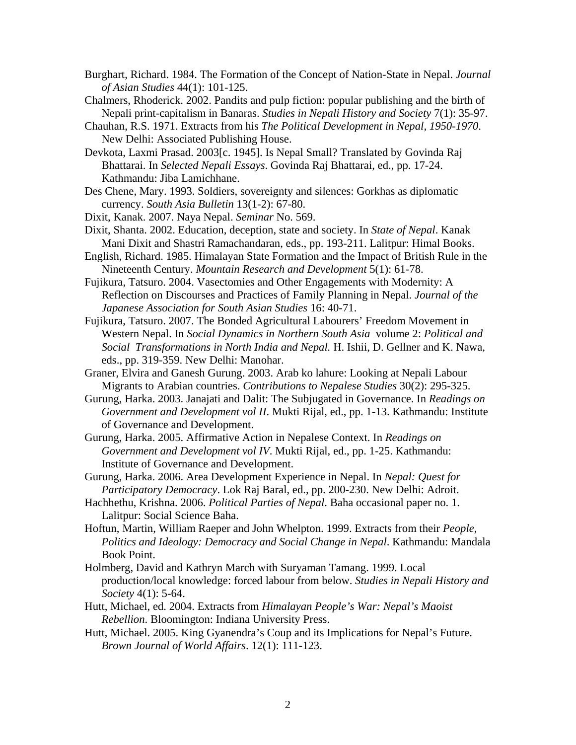- Burghart, Richard. 1984. The Formation of the Concept of Nation-State in Nepal. *Journal of Asian Studies* 44(1): 101-125.
- Chalmers, Rhoderick. 2002. Pandits and pulp fiction: popular publishing and the birth of Nepali print-capitalism in Banaras. *Studies in Nepali History and Society* 7(1): 35-97.
- Chauhan, R.S. 1971. Extracts from his *The Political Development in Nepal, 1950-1970*. New Delhi: Associated Publishing House.
- Devkota, Laxmi Prasad. 2003[c. 1945]. Is Nepal Small? Translated by Govinda Raj Bhattarai. In *Selected Nepali Essays*. Govinda Raj Bhattarai, ed., pp. 17-24. Kathmandu: Jiba Lamichhane.
- Des Chene, Mary. 1993. Soldiers, sovereignty and silences: Gorkhas as diplomatic currency. *South Asia Bulletin* 13(1-2): 67-80.
- Dixit, Kanak. 2007. Naya Nepal. *Seminar* No. 569.
- Dixit, Shanta. 2002. Education, deception, state and society. In *State of Nepal*. Kanak Mani Dixit and Shastri Ramachandaran, eds., pp. 193-211. Lalitpur: Himal Books.
- English, Richard. 1985. Himalayan State Formation and the Impact of British Rule in the Nineteenth Century. *Mountain Research and Development* 5(1): 61-78.
- Fujikura, Tatsuro. 2004. Vasectomies and Other Engagements with Modernity: A Reflection on Discourses and Practices of Family Planning in Nepal. *Journal of the Japanese Association for South Asian Studies* 16: 40-71.
- Fujikura, Tatsuro. 2007. The Bonded Agricultural Labourers' Freedom Movement in Western Nepal. In *Social Dynamics in Northern South Asia* volume 2: *Political and Social Transformations in North India and Nepal.* H. Ishii, D. Gellner and K. Nawa, eds., pp. 319-359. New Delhi: Manohar.
- Graner, Elvira and Ganesh Gurung. 2003. Arab ko lahure: Looking at Nepali Labour Migrants to Arabian countries. *Contributions to Nepalese Studies* 30(2): 295-325.
- Gurung, Harka. 2003. Janajati and Dalit: The Subjugated in Governance. In *Readings on Government and Development vol II*. Mukti Rijal, ed., pp. 1-13. Kathmandu: Institute of Governance and Development.
- Gurung, Harka. 2005. Affirmative Action in Nepalese Context. In *Readings on Government and Development vol IV*. Mukti Rijal, ed., pp. 1-25. Kathmandu: Institute of Governance and Development.
- Gurung, Harka. 2006. Area Development Experience in Nepal. In *Nepal: Quest for Participatory Democracy*. Lok Raj Baral, ed., pp. 200-230. New Delhi: Adroit.
- Hachhethu, Krishna. 2006. *Political Parties of Nepal*. Baha occasional paper no. 1. Lalitpur: Social Science Baha.
- Hoftun, Martin, William Raeper and John Whelpton. 1999. Extracts from their *People, Politics and Ideology: Democracy and Social Change in Nepal*. Kathmandu: Mandala Book Point.
- Holmberg, David and Kathryn March with Suryaman Tamang. 1999. Local production/local knowledge: forced labour from below. *Studies in Nepali History and Society* 4(1): 5-64.
- Hutt, Michael, ed. 2004. Extracts from *Himalayan People's War: Nepal's Maoist Rebellion*. Bloomington: Indiana University Press.
- Hutt, Michael. 2005. King Gyanendra's Coup and its Implications for Nepal's Future. *Brown Journal of World Affairs*. 12(1): 111-123.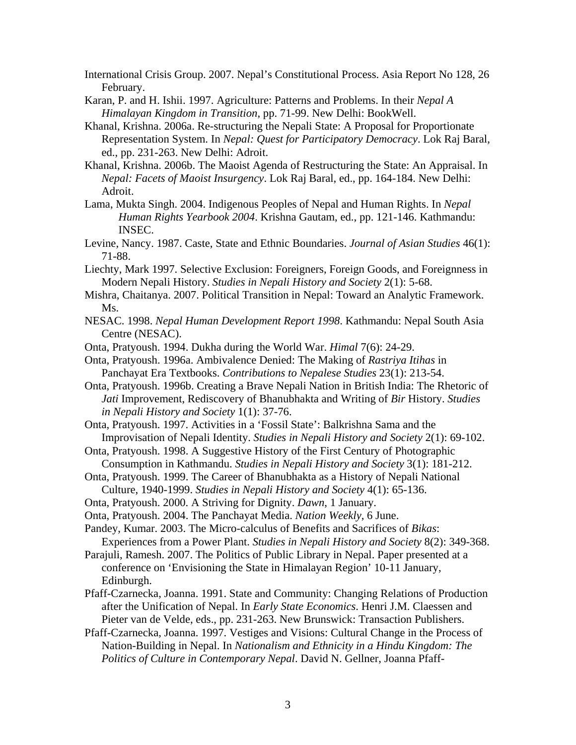- International Crisis Group. 2007. Nepal's Constitutional Process. Asia Report No 128, 26 February.
- Karan, P. and H. Ishii. 1997. Agriculture: Patterns and Problems. In their *Nepal A Himalayan Kingdom in Transition*, pp. 71-99. New Delhi: BookWell.
- Khanal, Krishna. 2006a. Re-structuring the Nepali State: A Proposal for Proportionate Representation System. In *Nepal: Quest for Participatory Democracy*. Lok Raj Baral, ed., pp. 231-263. New Delhi: Adroit.
- Khanal, Krishna. 2006b. The Maoist Agenda of Restructuring the State: An Appraisal. In *Nepal: Facets of Maoist Insurgency*. Lok Raj Baral, ed., pp. 164-184. New Delhi: Adroit.
- Lama, Mukta Singh. 2004. Indigenous Peoples of Nepal and Human Rights. In *Nepal Human Rights Yearbook 2004*. Krishna Gautam, ed., pp. 121-146. Kathmandu: INSEC.
- Levine, Nancy. 1987. Caste, State and Ethnic Boundaries. *Journal of Asian Studies* 46(1): 71-88.
- Liechty, Mark 1997. Selective Exclusion: Foreigners, Foreign Goods, and Foreignness in Modern Nepali History. *Studies in Nepali History and Society* 2(1): 5-68.
- Mishra, Chaitanya. 2007. Political Transition in Nepal: Toward an Analytic Framework. Ms.
- NESAC. 1998. *Nepal Human Development Report 1998*. Kathmandu: Nepal South Asia Centre (NESAC).
- Onta, Pratyoush. 1994. Dukha during the World War. *Himal* 7(6): 24-29.
- Onta, Pratyoush. 1996a. Ambivalence Denied: The Making of *Rastriya Itihas* in Panchayat Era Textbooks. *Contributions to Nepalese Studies* 23(1): 213-54.
- Onta, Pratyoush. 1996b. Creating a Brave Nepali Nation in British India: The Rhetoric of *Jati* Improvement, Rediscovery of Bhanubhakta and Writing of *Bir* History. *Studies in Nepali History and Society* 1(1): 37-76.
- Onta, Pratyoush. 1997. Activities in a 'Fossil State': Balkrishna Sama and the Improvisation of Nepali Identity. *Studies in Nepali History and Society* 2(1): 69-102.
- Onta, Pratyoush. 1998. A Suggestive History of the First Century of Photographic Consumption in Kathmandu. *Studies in Nepali History and Society* 3(1): 181-212.
- Onta, Pratyoush. 1999. The Career of Bhanubhakta as a History of Nepali National Culture, 1940-1999. *Studies in Nepali History and Society* 4(1): 65-136.
- Onta, Pratyoush. 2000. A Striving for Dignity. *Dawn*, 1 January.
- Onta, Pratyoush. 2004. The Panchayat Media. *Nation Weekly*, 6 June.
- Pandey, Kumar. 2003. The Micro-calculus of Benefits and Sacrifices of *Bikas*: Experiences from a Power Plant. *Studies in Nepali History and Society* 8(2): 349-368.
- Parajuli, Ramesh. 2007. The Politics of Public Library in Nepal. Paper presented at a conference on 'Envisioning the State in Himalayan Region' 10-11 January, Edinburgh.
- Pfaff-Czarnecka, Joanna. 1991. State and Community: Changing Relations of Production after the Unification of Nepal. In *Early State Economics*. Henri J.M. Claessen and Pieter van de Velde, eds., pp. 231-263. New Brunswick: Transaction Publishers.
- Pfaff-Czarnecka, Joanna. 1997. Vestiges and Visions: Cultural Change in the Process of Nation-Building in Nepal. In *Nationalism and Ethnicity in a Hindu Kingdom: The Politics of Culture in Contemporary Nepal*. David N. Gellner, Joanna Pfaff-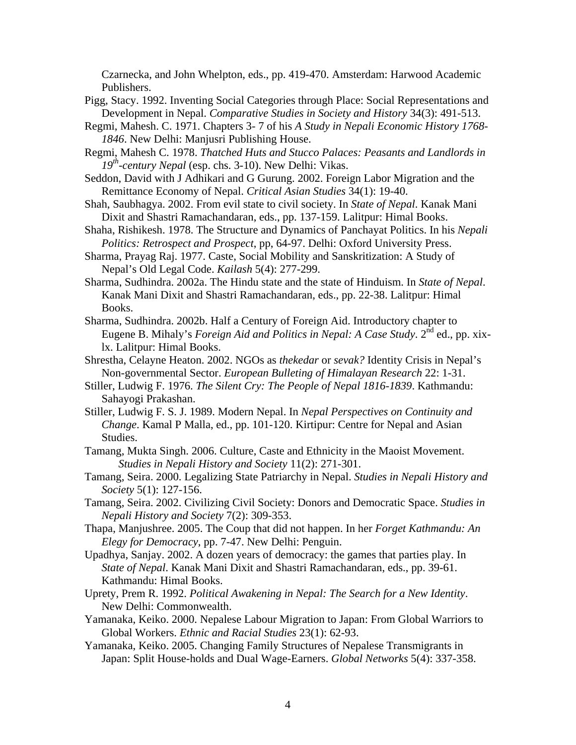Czarnecka, and John Whelpton, eds., pp. 419-470. Amsterdam: Harwood Academic Publishers.

- Pigg, Stacy. 1992. Inventing Social Categories through Place: Social Representations and Development in Nepal. *Comparative Studies in Society and History* 34(3): 491-513.
- Regmi, Mahesh. C. 1971. Chapters 3- 7 of his *A Study in Nepali Economic History 1768- 1846*. New Delhi: Manjusri Publishing House.
- Regmi, Mahesh C. 1978. *Thatched Huts and Stucco Palaces: Peasants and Landlords in 19th-century Nepal* (esp. chs. 3-10). New Delhi: Vikas.
- Seddon, David with J Adhikari and G Gurung. 2002. Foreign Labor Migration and the Remittance Economy of Nepal. *Critical Asian Studies* 34(1): 19-40.
- Shah, Saubhagya. 2002. From evil state to civil society. In *State of Nepal*. Kanak Mani Dixit and Shastri Ramachandaran, eds., pp. 137-159. Lalitpur: Himal Books.
- Shaha, Rishikesh. 1978. The Structure and Dynamics of Panchayat Politics. In his *Nepali Politics: Retrospect and Prospect*, pp, 64-97. Delhi: Oxford University Press.
- Sharma, Prayag Raj. 1977. Caste, Social Mobility and Sanskritization: A Study of Nepal's Old Legal Code. *Kailash* 5(4): 277-299.
- Sharma, Sudhindra. 2002a. The Hindu state and the state of Hinduism. In *State of Nepal*. Kanak Mani Dixit and Shastri Ramachandaran, eds., pp. 22-38. Lalitpur: Himal Books.
- Sharma, Sudhindra. 2002b. Half a Century of Foreign Aid. Introductory chapter to Eugene B. Mihaly's *Foreign Aid and Politics in Nepal: A Case Study*. 2<sup>nd</sup> ed., pp. xixlx. Lalitpur: Himal Books.
- Shrestha, Celayne Heaton. 2002. NGOs as *thekedar* or *sevak?* Identity Crisis in Nepal's Non-governmental Sector. *European Bulleting of Himalayan Research* 22: 1-31.
- Stiller, Ludwig F. 1976. *The Silent Cry: The People of Nepal 1816-1839*. Kathmandu: Sahayogi Prakashan.
- Stiller, Ludwig F. S. J. 1989. Modern Nepal. In *Nepal Perspectives on Continuity and Change*. Kamal P Malla, ed., pp. 101-120. Kirtipur: Centre for Nepal and Asian Studies.
- Tamang, Mukta Singh. 2006. Culture, Caste and Ethnicity in the Maoist Movement. *Studies in Nepali History and Society* 11(2): 271-301.
- Tamang, Seira. 2000. Legalizing State Patriarchy in Nepal. *Studies in Nepali History and Society* 5(1): 127-156.
- Tamang, Seira. 2002. Civilizing Civil Society: Donors and Democratic Space. *Studies in Nepali History and Society* 7(2): 309-353.
- Thapa, Manjushree. 2005. The Coup that did not happen. In her *Forget Kathmandu: An Elegy for Democracy*, pp. 7-47. New Delhi: Penguin.
- Upadhya, Sanjay. 2002. A dozen years of democracy: the games that parties play. In *State of Nepal*. Kanak Mani Dixit and Shastri Ramachandaran, eds., pp. 39-61. Kathmandu: Himal Books.
- Uprety, Prem R. 1992. *Political Awakening in Nepal: The Search for a New Identity*. New Delhi: Commonwealth.
- Yamanaka, Keiko. 2000. Nepalese Labour Migration to Japan: From Global Warriors to Global Workers. *Ethnic and Racial Studies* 23(1): 62-93.
- Yamanaka, Keiko. 2005. Changing Family Structures of Nepalese Transmigrants in Japan: Split House-holds and Dual Wage-Earners. *Global Networks* 5(4): 337-358.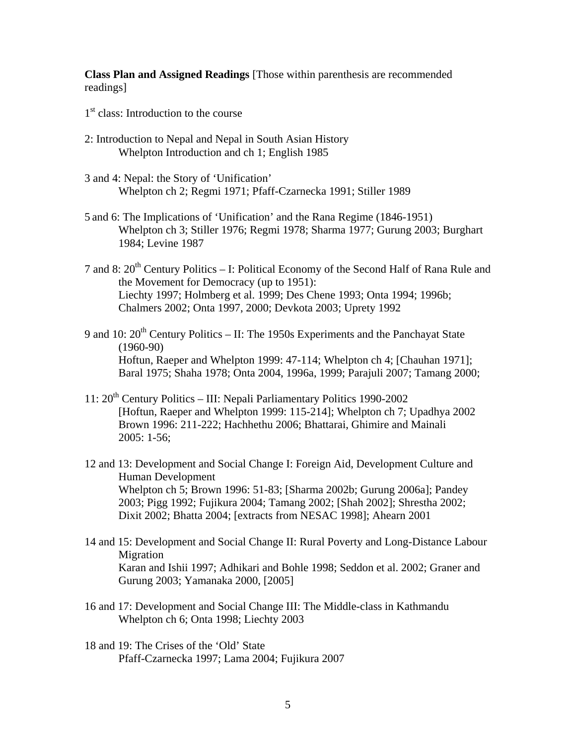**Class Plan and Assigned Readings** [Those within parenthesis are recommended readings]

- $1<sup>st</sup>$  class: Introduction to the course
- 2: Introduction to Nepal and Nepal in South Asian History Whelpton Introduction and ch 1; English 1985
- 3 and 4: Nepal: the Story of 'Unification' Whelpton ch 2; Regmi 1971; Pfaff-Czarnecka 1991; Stiller 1989
- 5 and 6: The Implications of 'Unification' and the Rana Regime (1846-1951) Whelpton ch 3; Stiller 1976; Regmi 1978; Sharma 1977; Gurung 2003; Burghart 1984; Levine 1987
- 7 and 8:  $20^{th}$  Century Politics I: Political Economy of the Second Half of Rana Rule and the Movement for Democracy (up to 1951): Liechty 1997; Holmberg et al. 1999; Des Chene 1993; Onta 1994; 1996b; Chalmers 2002; Onta 1997, 2000; Devkota 2003; Uprety 1992
- 9 and 10:  $20^{th}$  Century Politics II: The 1950s Experiments and the Panchayat State (1960-90) Hoftun, Raeper and Whelpton 1999: 47-114; Whelpton ch 4; [Chauhan 1971]; Baral 1975; Shaha 1978; Onta 2004, 1996a, 1999; Parajuli 2007; Tamang 2000;
- 11: 20th Century Politics III: Nepali Parliamentary Politics 1990-2002 [Hoftun, Raeper and Whelpton 1999: 115-214]; Whelpton ch 7; Upadhya 2002 Brown 1996: 211-222; Hachhethu 2006; Bhattarai, Ghimire and Mainali 2005: 1-56;
- 12 and 13: Development and Social Change I: Foreign Aid, Development Culture and Human Development Whelpton ch 5; Brown 1996: 51-83; [Sharma 2002b; Gurung 2006a]; Pandey 2003; Pigg 1992; Fujikura 2004; Tamang 2002; [Shah 2002]; Shrestha 2002; Dixit 2002; Bhatta 2004; [extracts from NESAC 1998]; Ahearn 2001
- 14 and 15: Development and Social Change II: Rural Poverty and Long-Distance Labour Migration Karan and Ishii 1997; Adhikari and Bohle 1998; Seddon et al. 2002; Graner and Gurung 2003; Yamanaka 2000, [2005]
- 16 and 17: Development and Social Change III: The Middle-class in Kathmandu Whelpton ch 6; Onta 1998; Liechty 2003
- 18 and 19: The Crises of the 'Old' State Pfaff-Czarnecka 1997; Lama 2004; Fujikura 2007